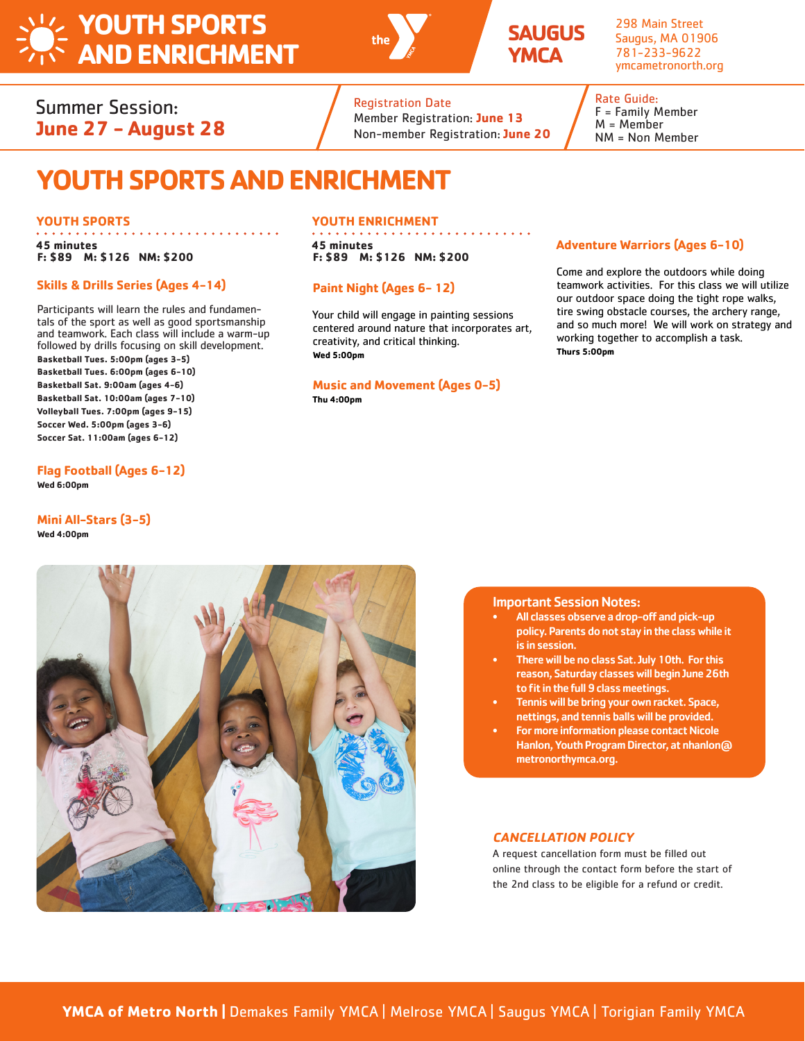# **YOUTH SPORTS AND ENRICHMENT**





298 Main Street Saugus, MA 01906 781-233-9622 ymcametronorth.org

## Summer Session: **June 27 - August 28**

## Registration Date

Member Registration: **June 13** Non-member Registration: **June 20**

### Rate Guide: F = Family Member M = Member NM = Non Member

# **YOUTH SPORTS AND ENRICHMENT**

### **YOUTH SPORTS**

**45 minutes F: \$89 M: \$126 NM: \$200**

### **Skills & Drills Series (Ages 4-14)**

Participants will learn the rules and fundamentals of the sport as well as good sportsmanship and teamwork. Each class will include a warm-up followed by drills focusing on skill development. **Basketball Tues. 5:00pm (ages 3-5) Basketball Tues. 6:00pm (ages 6-10) Basketball Sat. 9:00am (ages 4-6) Basketball Sat. 10:00am (ages 7-10) Volleyball Tues. 7:00pm (ages 9-15) Soccer Wed. 5:00pm (ages 3-6) Soccer Sat. 11:00am (ages 6-12)** 

### **Flag Football (Ages 6-12) Wed 6:00pm**

### **Mini All-Stars (3-5) Wed 4:00pm**

### **YOUTH ENRICHMENT**

**45 minutes F: \$89 M: \$126 NM: \$200**

### **Paint Night (Ages 6- 12)**

Your child will engage in painting sessions centered around nature that incorporates art, creativity, and critical thinking. **Wed 5:00pm**

### **Music and Movement (Ages 0-5) Thu 4:00pm**

### **Adventure Warriors (Ages 6-10)**

Come and explore the outdoors while doing teamwork activities. For this class we will utilize our outdoor space doing the tight rope walks, tire swing obstacle courses, the archery range, and so much more! We will work on strategy and working together to accomplish a task. **Thurs 5:00pm**



- All classes observe a drop-off and pick-up policy. Parents do not stay in the class while it is in session.
- There will be no class Sat. July 10th. For this reason, Saturday classes will begin June 26th to fit in the full 9 class meetings.
- Tennis will be bring your own racket. Space, nettings, and tennis balls will be provided.
- For more information please contact Nicole Hanlon, Youth Program Director, at nhanlon@ metronorthymca.org.

### **CANCELLATION POLICY**

A request cancellation form must be filled out online through the contact form before the start of the 2nd class to be eligible for a refund or credit.



**YMCA of Metro North |** Demakes Family YMCA | Melrose YMCA | Saugus YMCA | Torigian Family YMCA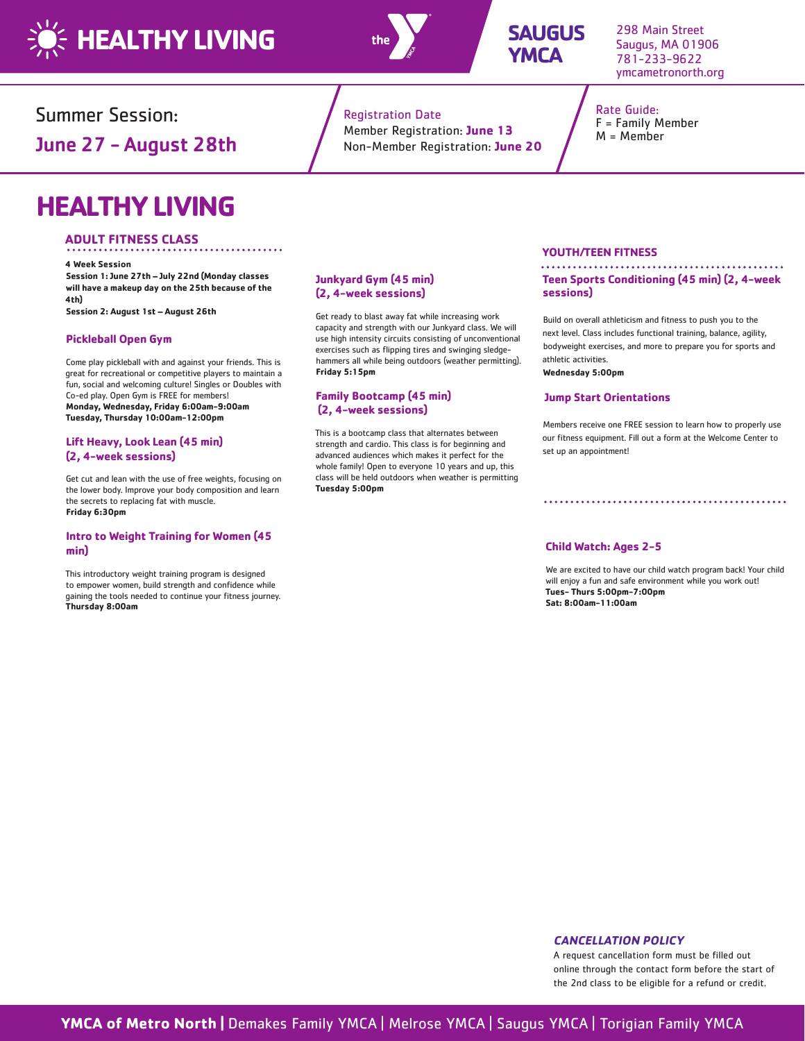



## **SAUGUS YMCA**

298 Main Street Saugus, MA 01906 781-233-9622 ymcametronorth.org

Rate Guide: F = Family Member M = Member

Summer Session:

June 27 - August 28th

# **HEALTHY LIVING**

### **ADULT FITNESS CLASS**

**4 Week Session Session 1: June 27th – July 22nd (Monday classes will have a makeup day on the 25th because of the 4th)** 

**Session 2: August 1st – August 26th** 

### **Pickleball Open Gym**

Come play pickleball with and against your friends. This is great for recreational or competitive players to maintain a fun, social and welcoming culture! Singles or Doubles with Co-ed play. Open Gym is FREE for members! **Monday, Wednesday, Friday 6:00am-9:00am Tuesday, Thursday 10:00am-12:00pm** 

### **Lift Heavy, Look Lean (45 min) (2, 4-week sessions)**

Get cut and lean with the use of free weights, focusing on the lower body. Improve your body composition and learn the secrets to replacing fat with muscle. **Friday 6:30pm** 

### **Intro to Weight Training for Women (45 min)**

This introductory weight training program is designed to empower women, build strength and confidence while gaining the tools needed to continue your fitness journey. **Thursday 8:00am** 

## Registration Date

**Junkyard Gym (45 min) (2, 4-week sessions)** 

**Family Bootcamp (45 min) (2, 4-week sessions)** 

**Friday 5:15pm** 

**Tuesday 5:00pm** 

Get ready to blast away fat while increasing work capacity and strength with our Junkyard class. We will use high intensity circuits consisting of unconventional exercises such as flipping tires and swinging sledgehammers all while being outdoors (weather permitting).

This is a bootcamp class that alternates between strength and cardio. This class is for beginning and advanced audiences which makes it perfect for the whole family! Open to everyone 10 years and up, this class will be held outdoors when weather is permitting

Member Registration: **June 13** Non-Member Registration: **June 20**

### **YOUTH/TEEN FITNESS**

**Teen Sports Conditioning (45 min) (2, 4-week sessions)** 

Build on overall athleticism and fitness to push you to the next level. Class includes functional training, balance, agility, bodyweight exercises, and more to prepare you for sports and athletic activities. **Wednesday 5:00pm** 

#### **Jump Start Orientations**

Members receive one FREE session to learn how to properly use our fitness equipment. Fill out a form at the Welcome Center to set up an appointment!

#### **Child Watch: Ages 2-5**

We are excited to have our child watch program back! Your child will enjoy a fun and safe environment while you work out!   **Tues- Thurs 5:00pm-7:00pm Sat: 8:00am-11:00am**

### **CANCELLATION POLICY**

A request cancellation form must be filled out online through the contact form before the start of the 2nd class to be eligible for a refund or credit.